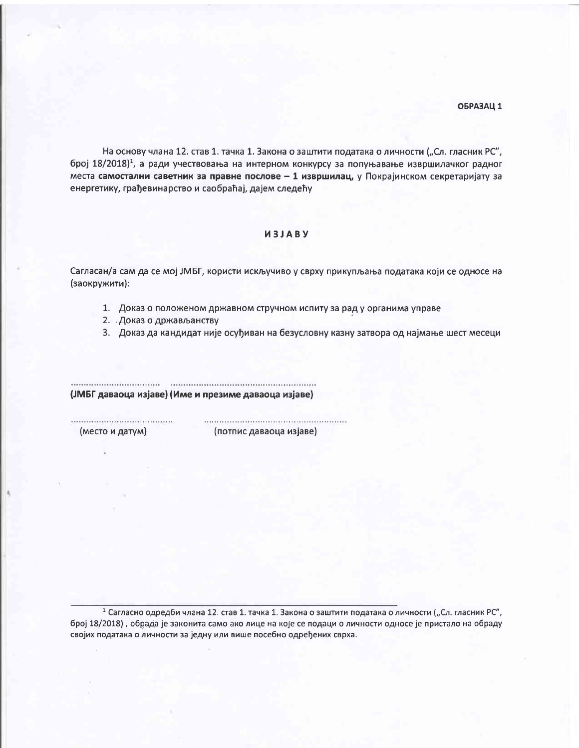На основу члана 12. став 1. тачка 1. Закона о заштити података о личности ("Сл. гласник РС", број 18/2018)<sup>1</sup>, а ради учествовања на интерном конкурсу за попуњавање извршилачког радног места самостални саветник за правне послове - 1 извршилац, у Покрајинском секретаријату за енергетику, грађевинарство и саобраћај, дајем следећу

## *MBJABY*

Сагласан/а сам да се мој ЈМБГ, користи искључиво у сврху прикупљања података који се односе на (заокружити):

- 1. Доказ о положеном државном стручном испиту за рад у органима управе
- 2. Доказ о држављанству
- 3. Доказ да кандидат није осуђиван на безусловну казну затвора од најмање шест месеци

(ЈМБГ даваоца изјаве) (Име и презиме даваоца изјаве)

(место и датум)

(потпис даваоца изјаве)

1 Сагласно одредби члана 12. став 1. тачка 1. Закона о заштити података о личности ("Сл. гласник РС", број 18/2018), обрада је законита само ако лице на које се подаци о личности односе је пристало на обраду својих података о личности за једну или више посебно одређених сврха.